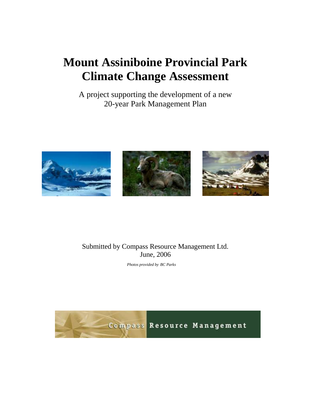# **Mount Assiniboine Provincial Park Climate Change Assessment**

A project supporting the development of a new 20-year Park Management Plan







#### Submitted by Compass Resource Management Ltd. June, 2006

*Photos provided by BC Parks* 

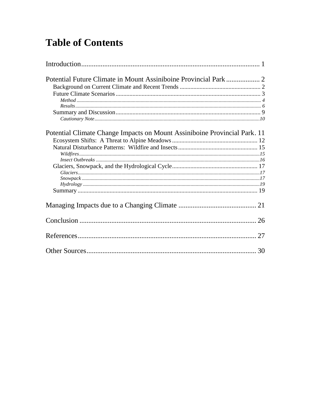# **Table of Contents**

| Potential Climate Change Impacts on Mount Assiniboine Provincial Park. 11 |
|---------------------------------------------------------------------------|
|                                                                           |
|                                                                           |
|                                                                           |
|                                                                           |
|                                                                           |
|                                                                           |
|                                                                           |
|                                                                           |
|                                                                           |
|                                                                           |
|                                                                           |
| 27                                                                        |
|                                                                           |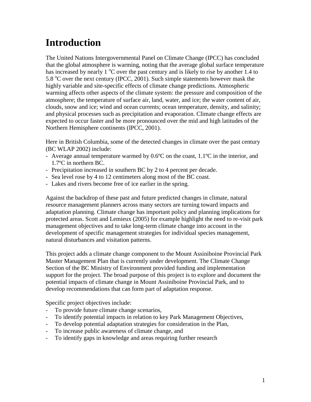# **Introduction**

The United Nations Intergovernmental Panel on Climate Change (IPCC) has concluded that the global atmosphere is warming, noting that the average global surface temperature has increased by nearly 1  $\degree$ C over the past century and is likely to rise by another 1.4 to 5.8  $\degree$ C over the next century (IPCC, 2001). Such simple statements however mask the highly variable and site-specific effects of climate change predictions. Atmospheric warming affects other aspects of the climate system: the pressure and composition of the atmosphere; the temperature of surface air, land, water, and ice; the water content of air, clouds, snow and ice; wind and ocean currents; ocean temperature, density, and salinity; and physical processes such as precipitation and evaporation. Climate change effects are expected to occur faster and be more pronounced over the mid and high latitudes of the Northern Hemisphere continents (IPCC, 2001).

Here in British Columbia, some of the detected changes in climate over the past century (BC WLAP 2002) include:

- Average annual temperature warmed by 0.6ºC on the coast, 1.1ºC in the interior, and 1.7ºC in northern BC.
- Precipitation increased in southern BC by 2 to 4 percent per decade.
- Sea level rose by 4 to 12 centimeters along most of the BC coast.
- Lakes and rivers become free of ice earlier in the spring.

Against the backdrop of these past and future predicted changes in climate, natural resource management planners across many sectors are turning toward impacts and adaptation planning. Climate change has important policy and planning implications for protected areas. Scott and Lemieux (2005) for example highlight the need to re-visit park management objectives and to take long-term climate change into account in the development of specific management strategies for individual species management, natural disturbances and visitation patterns.

This project adds a climate change component to the Mount Assiniboine Provincial Park Master Management Plan that is currently under development. The Climate Change Section of the BC Ministry of Environment provided funding and implementation support for the project. The broad purpose of this project is to explore and document the potential impacts of climate change in Mount Assiniboine Provincial Park, and to develop recommendations that can form part of adaptation response.

Specific project objectives include:

- To provide future climate change scenarios,
- To identify potential impacts in relation to key Park Management Objectives,
- To develop potential adaptation strategies for consideration in the Plan,
- To increase public awareness of climate change, and
- To identify gaps in knowledge and areas requiring further research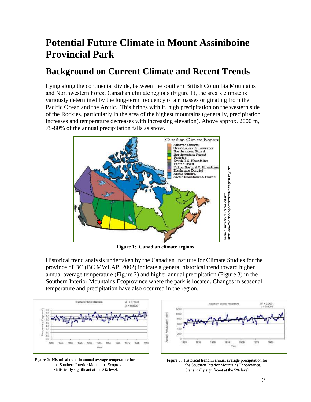# **Potential Future Climate in Mount Assiniboine Provincial Park**

# **Background on Current Climate and Recent Trends**

Lying along the continental divide, between the southern British Columbia Mountains and Northwestern Forest Canadian climate regions (Figure 1), the area"s climate is variously determined by the long-term frequency of air masses originating from the Pacific Ocean and the Arctic. This brings with it, high precipitation on the western side of the Rockies, particularly in the area of the highest mountains (generally, precipitation increases and temperature decreases with increasing elevation). Above approx. 2000 m, 75-80% of the annual precipitation falls as snow.



**Figure 1: Canadian climate regions**

Historical trend analysis undertaken by the Canadian Institute for Climate Studies for the province of BC (BC MWLAP, 2002) indicate a general historical trend toward higher annual average temperature (Figure 2) and higher annual precipitation (Figure 3) in the Southern Interior Mountains Ecoprovince where the park is located. Changes in seasonal temperature and precipitation have also occurred in the region.



Figure 2: Historical trend in annual average temperature for the Southern Interior Mountains Ecoprovince. Statistically significant at the 5% level.



Figure 3: Historical trend in annual average precipitation for the Southern Interior Mountains Ecoprovince. Statistically significant at the 5% level.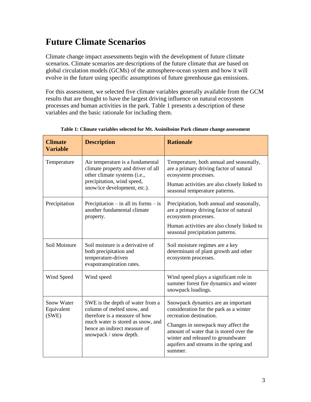# **Future Climate Scenarios**

Climate change impact assessments begin with the development of future climate scenarios. Climate scenarios are descriptions of the future climate that are based on global circulation models (GCMs) of the atmosphere-ocean system and how it will evolve in the future using specific assumptions of future greenhouse gas emissions.

For this assessment, we selected five climate variables generally available from the GCM results that are thought to have the largest driving influence on natural ecosystem processes and human activities in the park. Table 1 presents a description of these variables and the basic rationale for including them.

| <b>Climate</b><br><b>Variable</b> | <b>Description</b>                                                                                            | <b>Rationale</b>                                                                                                                                                         |
|-----------------------------------|---------------------------------------------------------------------------------------------------------------|--------------------------------------------------------------------------------------------------------------------------------------------------------------------------|
| Temperature                       | Air temperature is a fundamental<br>climate property and driver of all<br>other climate systems (i.e.,        | Temperature, both annual and seasonally,<br>are a primary driving factor of natural<br>ecosystem processes.                                                              |
|                                   | precipitation, wind speed,<br>snow/ice development, etc.).                                                    | Human activities are also closely linked to<br>seasonal temperature patterns.                                                                                            |
| Precipitation                     | Precipitation $-$ in all its forms $-$ is<br>another fundamental climate<br>property.                         | Precipitation, both annual and seasonally,<br>are a primary driving factor of natural<br>ecosystem processes.                                                            |
|                                   |                                                                                                               | Human activities are also closely linked to<br>seasonal precipitation patterns.                                                                                          |
| Soil Moisture                     | Soil moisture is a derivative of<br>both precipitation and<br>temperature-driven<br>evapotranspiration rates. | Soil moisture regimes are a key<br>determinant of plant growth and other<br>ecosystem processes.                                                                         |
| Wind Speed                        | Wind speed                                                                                                    | Wind speed plays a significant role in<br>summer forest fire dynamics and winter<br>snowpack loadings.                                                                   |
| Snow Water<br>Equivalent<br>(SWE) | SWE is the depth of water from a<br>column of melted snow, and<br>therefore is a measure of how               | Snowpack dynamics are an important<br>consideration for the park as a winter<br>recreation destination.                                                                  |
|                                   | much water is stored as snow, and<br>hence an indirect measure of<br>snowpack / snow depth.                   | Changes in snowpack may affect the<br>amount of water that is stored over the<br>winter and released to groundwater<br>aquifers and streams in the spring and<br>summer. |

#### **Table 1: Climate variables selected for Mt. Assiniboine Park climate change assessment**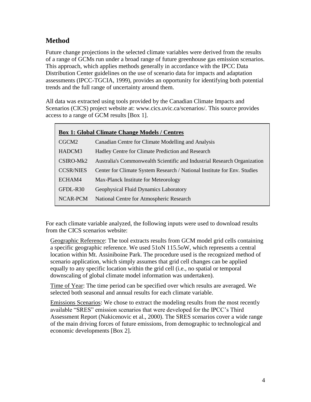### **Method**

Future change projections in the selected climate variables were derived from the results of a range of GCMs run under a broad range of future greenhouse gas emission scenarios. This approach, which applies methods generally in accordance with the IPCC Data Distribution Center guidelines on the use of scenario data for impacts and adaptation assessments (IPCC-TGCIA, 1999), provides an opportunity for identifying both potential trends and the full range of uncertainty around them.

All data was extracted using tools provided by the Canadian Climate Impacts and Scenarios (CICS) project website at: www.cics.uvic.ca/scenarios/. This source provides access to a range of GCM results [Box 1].

| <b>Box 1: Global Climate Change Models / Centres</b> |                                                                          |  |  |
|------------------------------------------------------|--------------------------------------------------------------------------|--|--|
| CGCM <sub>2</sub>                                    | Canadian Centre for Climate Modelling and Analysis                       |  |  |
| HADCM3                                               | Hadley Centre for Climate Prediction and Research                        |  |  |
| $CSIRO-Mk2$                                          | Australia's Commonwealth Scientific and Industrial Research Organization |  |  |
| <b>CCSR/NIES</b>                                     | Center for Climate System Research / National Institute for Env. Studies |  |  |
| ECHAM4                                               | Max-Planck Institute for Meteorology                                     |  |  |
| GFDL-R30                                             | Geophysical Fluid Dynamics Laboratory                                    |  |  |
| NCAR-PCM                                             | National Centre for Atmospheric Research                                 |  |  |

For each climate variable analyzed, the following inputs were used to download results from the CICS scenarios website:

Geographic Reference: The tool extracts results from GCM model grid cells containing a specific geographic reference. We used 51oN 115.5oW, which represents a central location within Mt. Assiniboine Park. The procedure used is the recognized method of scenario application, which simply assumes that grid cell changes can be applied equally to any specific location within the grid cell (i.e., no spatial or temporal downscaling of global climate model information was undertaken).

Time of Year: The time period can be specified over which results are averaged. We selected both seasonal and annual results for each climate variable.

Emissions Scenarios: We chose to extract the modeling results from the most recently available "SRES" emission scenarios that were developed for the IPCC"s Third Assessment Report (Nakicenovic et al., 2000). The SRES scenarios cover a wide range of the main driving forces of future emissions, from demographic to technological and economic developments [Box 2].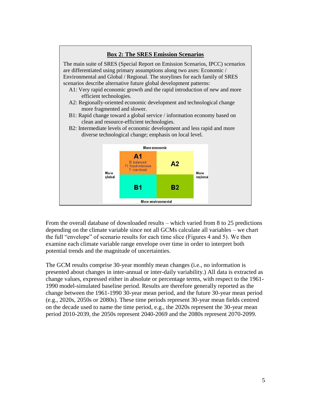### **Box 2: The SRES Emission Scenarios**

The main suite of SRES (Special Report on Emission Scenarios, IPCC) scenarios are differentiated using primary assumptions along two axes: Economic / Environmental and Global / Regional. The storylines for each family of SRES scenarios describe alternative future global development patterns:

- A1: Very rapid economic growth and the rapid introduction of new and more efficient technologies.
- A2: Regionally-oriented economic development and technological change more fragmented and slower.
- B1: Rapid change toward a global service / information economy based on clean and resource-efficient technologies.





From the overall database of downloaded results – which varied from 8 to 25 predictions depending on the climate variable since not all GCMs calculate all variables – we chart the full "envelope" of scenario results for each time slice (Figures 4 and 5). We then examine each climate variable range envelope over time in order to interpret both potential trends and the magnitude of uncertainties.

The GCM results comprise 30-year monthly mean changes (i.e., no information is presented about changes in inter-annual or inter-daily variability.) All data is extracted as change values, expressed either in absolute or percentage terms, with respect to the 1961- 1990 model-simulated baseline period. Results are therefore generally reported as the change between the 1961-1990 30-year mean period, and the future 30-year mean period (e.g., 2020s, 2050s or 2080s). These time periods represent 30-year mean fields centred on the decade used to name the time period, e.g., the 2020s represent the 30-year mean period 2010-2039, the 2050s represent 2040-2069 and the 2080s represent 2070-2099.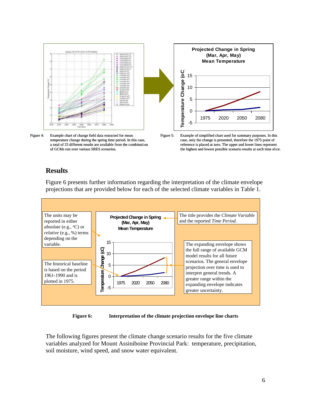

Figure 4: Example chart of change field data extracted for mean temperature change during the spring time period. In this case, a total of 25 different results are available from the combination of GCMs run over various SRES scenarios.





#### **Results**



Figure 6 presents further information regarding the interpretation of the climate envelope projections that are provided below for each of the selected climate variables in Table 1.

**Figure 6: Interpretation of the climate projection envelope line charts**

The following figures present the climate change scenario results for the five climate variables analyzed for Mount Assiniboine Provincial Park: temperature, precipitation, soil moisture, wind speed, and snow water equivalent.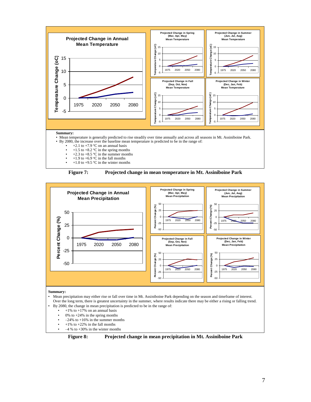





#### **Summary:**

- Mean precipitation may either rise or fall over time in Mt. Assiniboine Park depending on the season and timeframe of interest. Over the long term, there is greatest uncertainty in the summer, where results indicate there may be either a rising or falling trend.
- By 2080, the change in mean precipitation is predicted to be in the range of:
	- $+1\%$  to  $+17\%$  on an annual basis<br>•  $-0\%$  to  $+24\%$  in the enring months
	- 0% to  $+24%$  in the spring months
	- $-24\%$  to  $+16\%$  in the summer months
	- $+1\%$  to  $+22\%$  in the fall months
	- $\cdot$  –4 % to +30% in the winter months

**Figure 8: Projected change in mean precipitation in Mt. Assiniboine Park**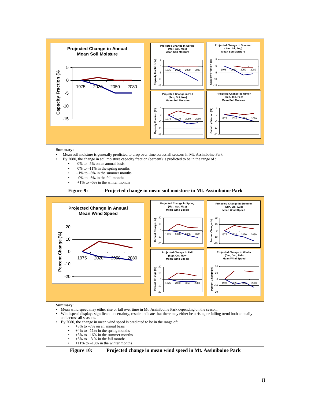



**Summary:**

- Mean wind speed may either rise or fall over time in Mt. Assiniboine Park depending on the season.
- Wind speed displays significant uncertainty, results indicate that there may either be a rising or falling trend both annually and across all seasons.
- By 2080, the change in mean wind speed is predicted to be in the range of:
	- $+3\%$  to  $-7\%$  on an annual basis
	- $+4\%$  to  $-11\%$  in the spring months
	- $+3\%$  to  $-16\%$  in the summer months
	- $+5\%$  to  $-3\%$  in the fall months
	- $+11\%$  to  $-13\%$  in the winter months

**Figure 10: Projected change in mean wind speed in Mt. Assiniboine Park**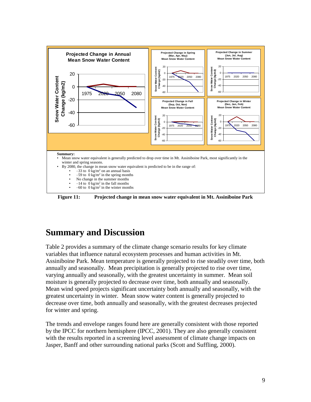

**Figure 11: Projected change in mean snow water equivalent in Mt. Assiniboine Park** 

# **Summary and Discussion**

Table 2 provides a summary of the climate change scenario results for key climate variables that influence natural ecosystem processes and human activities in Mt. Assiniboine Park. Mean temperature is generally projected to rise steadily over time, both annually and seasonally. Mean precipitation is generally projected to rise over time, varying annually and seasonally, with the greatest uncertainty in summer. Mean soil moisture is generally projected to decrease over time, both annually and seasonally. Mean wind speed projects significant uncertainty both annually and seasonally, with the greatest uncertainty in winter. Mean snow water content is generally projected to decrease over time, both annually and seasonally, with the greatest decreases projected for winter and spring.

The trends and envelope ranges found here are generally consistent with those reported by the IPCC for northern hemisphere (IPCC, 2001). They are also generally consistent with the results reported in a screening level assessment of climate change impacts on Jasper, Banff and other surrounding national parks (Scott and Suffling, 2000).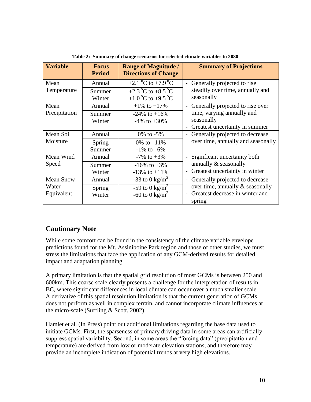| <b>Variable</b>  | <b>Focus</b><br><b>Period</b> | <b>Range of Magnitude /</b><br><b>Directions of Change</b> | <b>Summary of Projections</b>                                |
|------------------|-------------------------------|------------------------------------------------------------|--------------------------------------------------------------|
| Mean             | Annual                        | +2.1 $^{\circ}$ C to +7.9 $^{\circ}$ C                     | - Generally projected to rise                                |
| Temperature      | Summer                        | +2.3 °C to +8.5 °C                                         | steadily over time, annually and                             |
|                  | Winter                        | +1.0 °C to +9.5 °C                                         | seasonally                                                   |
| Mean             | Annual                        | $+1\%$ to $+17\%$                                          | Generally projected to rise over<br>$\overline{\phantom{a}}$ |
| Precipitation    | Summer                        | $-24\%$ to $+16\%$                                         | time, varying annually and                                   |
|                  | Winter                        | $-4\%$ to $+30\%$                                          | seasonally                                                   |
|                  |                               |                                                            | Greatest uncertainty in summer<br>$\overline{a}$             |
| Mean Soil        | Annual                        | 0\% to $-5\%$                                              | Generally projected to decrease<br>$\overline{\phantom{a}}$  |
| Moisture         | Spring                        | 0\% to $-11\%$                                             | over time, annually and seasonally                           |
|                  | Summer                        | $-1\%$ to $-6\%$                                           |                                                              |
| Mean Wind        | Annual                        | $-7\%$ to $+3\%$                                           | - Significant uncertainty both                               |
| Speed            | Summer                        | $-16\%$ to $+3\%$                                          | annually & seasonally                                        |
|                  | Winter                        | $-13\%$ to $+11\%$                                         | Greatest uncertainty in winter<br>$\overline{a}$             |
| <b>Mean Snow</b> | Annual                        | -33 to 0 kg/m <sup>2</sup>                                 | Generally projected to decrease<br>$\overline{\phantom{a}}$  |
| Water            | Spring                        | -59 to 0 kg/m <sup>2</sup>                                 | over time, annually & seasonally                             |
| Equivalent       | Winter                        | -60 to 0 kg/m <sup>2</sup>                                 | Greatest decrease in winter and<br>spring                    |

**Table 2: Summary of change scenarios for selected climate variables to 2080**

#### **Cautionary Note**

While some comfort can be found in the consistency of the climate variable envelope predictions found for the Mt. Assiniboine Park region and those of other studies, we must stress the limitations that face the application of any GCM-derived results for detailed impact and adaptation planning.

A primary limitation is that the spatial grid resolution of most GCMs is between 250 and 600km. This coarse scale clearly presents a challenge for the interpretation of results in BC, where significant differences in local climate can occur over a much smaller scale. A derivative of this spatial resolution limitation is that the current generation of GCMs does not perform as well in complex terrain, and cannot incorporate climate influences at the micro-scale (Suffling & Scott, 2002).

Hamlet et al. (In Press) point out additional limitations regarding the base data used to initiate GCMs. First, the sparseness of primary driving data in some areas can artificially suppress spatial variability. Second, in some areas the "forcing data" (precipitation and temperature) are derived from low or moderate elevation stations, and therefore may provide an incomplete indication of potential trends at very high elevations.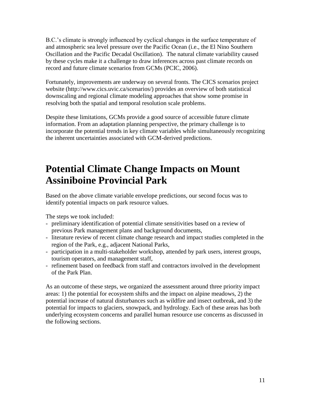B.C.'s climate is strongly influenced by cyclical changes in the surface temperature of and atmospheric sea level pressure over the Pacific Ocean (i.e., the El Nino Southern Oscillation and the Pacific Decadal Oscillation). The natural climate variability caused by these cycles make it a challenge to draw inferences across past climate records on record and future climate scenarios from GCMs (PCIC, 2006).

Fortunately, improvements are underway on several fronts. The CICS scenarios project website (http://www.cics.uvic.ca/scenarios/) provides an overview of both statistical downscaling and regional climate modeling approaches that show some promise in resolving both the spatial and temporal resolution scale problems.

Despite these limitations, GCMs provide a good source of accessible future climate information. From an adaptation planning perspective, the primary challenge is to incorporate the potential trends in key climate variables while simultaneously recognizing the inherent uncertainties associated with GCM-derived predictions.

# **Potential Climate Change Impacts on Mount Assiniboine Provincial Park**

Based on the above climate variable envelope predictions, our second focus was to identify potential impacts on park resource values.

The steps we took included:

- preliminary identification of potential climate sensitivities based on a review of previous Park management plans and background documents,
- literature review of recent climate change research and impact studies completed in the region of the Park, e.g., adjacent National Parks,
- participation in a multi-stakeholder workshop, attended by park users, interest groups, tourism operators, and management staff,
- refinement based on feedback from staff and contractors involved in the development of the Park Plan.

As an outcome of these steps, we organized the assessment around three priority impact areas: 1) the potential for ecosystem shifts and the impact on alpine meadows, 2) the potential increase of natural disturbances such as wildfire and insect outbreak, and 3) the potential for impacts to glaciers, snowpack, and hydrology. Each of these areas has both underlying ecosystem concerns and parallel human resource use concerns as discussed in the following sections.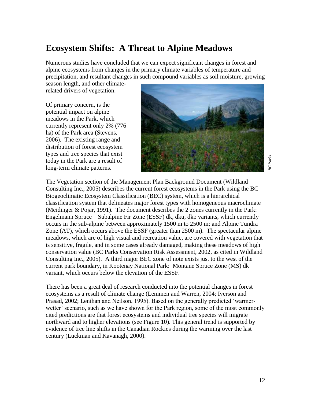# **Ecosystem Shifts: A Threat to Alpine Meadows**

Numerous studies have concluded that we can expect significant changes in forest and alpine ecosystems from changes in the primary climate variables of temperature and precipitation, and resultant changes in such compound variables as soil moisture, growing

season length, and other climaterelated drivers of vegetation.

Of primary concern, is the potential impact on alpine meadows in the Park, which currently represent only 2% (776 ha) of the Park area (Stevens, 2006). The existing range and distribution of forest ecosystem types and tree species that exist today in the Park are a result of long-term climate patterns.



 $P$ arks *BC Parks*

The Vegetation section of the Management Plan Background Document (Wildland Consulting Inc., 2005) describes the current forest ecosystems in the Park using the BC Biogeoclimatic Ecosystem Classification (BEC) system, which is a hierarchical classification system that delineates major forest types with homogeneous macroclimate (Meidinger & Pojar, 1991). The document describes the 2 zones currently in the Park: Engelmann Spruce – Subalpine Fir Zone (ESSF) dk, dku, dkp variants, which currently occurs in the sub-alpine between approximately 1500 m to 2500 m; and Alpine Tundra Zone (AT), which occurs above the ESSF (greater than 2500 m). The spectacular alpine meadows, which are of high visual and recreation value, are covered with vegetation that is sensitive, fragile, and in some cases already damaged, making these meadows of high conservation value (BC Parks Conservation Risk Assessment, 2002, as cited in Wildland Consulting Inc., 2005). A third major BEC zone of note exists just to the west of the current park boundary, in Kootenay National Park: Montane Spruce Zone (MS) dk variant, which occurs below the elevation of the ESSF.

There has been a great deal of research conducted into the potential changes in forest ecosystems as a result of climate change (Lemmen and Warren, 2004; Iverson and Prasad, 2002; Lenihan and Neilson, 1995). Based on the generally predicted "warmerwetter' scenario, such as we have shown for the Park region, some of the most commonly cited predictions are that forest ecosystems and individual tree species will migrate northward and to higher elevations (see Figure 10). This general trend is supported by evidence of tree line shifts in the Canadian Rockies during the warming over the last century (Luckman and Kavanagh, 2000).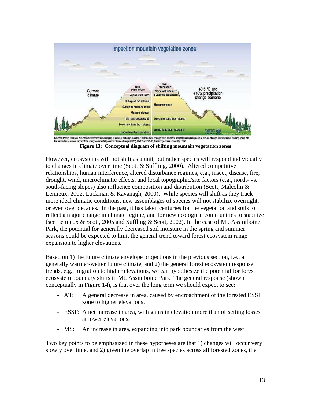

the second assessment report of the intergovernmental panel on climate change (IPOC), UNEP and WMO, Cambridge press university, 1996. **Figure 13: Conceptual diagram of shifting mountain vegetation zones**

However, ecosystems will not shift as a unit, but rather species will respond individually to changes in climate over time (Scott & Suffling, 2000). Altered competitive relationships, human interference, altered disturbance regimes, e.g., insect, disease, fire, drought, wind, microclimatic effects, and local topographic/site factors (e.g., north- vs. south-facing slopes) also influence composition and distribution (Scott, Malcolm & Lemieux, 2002; Luckman & Kavanagh, 2000). While species will shift as they track more ideal climatic conditions, new assemblages of species will not stabilize overnight, or even over decades. In the past, it has taken centuries for the vegetation and soils to reflect a major change in climate regime, and for new ecological communities to stabilize (see Lemieux & Scott, 2005 and Suffling & Scott, 2002). In the case of Mt. Assiniboine Park, the potential for generally decreased soil moisture in the spring and summer seasons could be expected to limit the general trend toward forest ecosystem range expansion to higher elevations.

Based on 1) the future climate envelope projections in the previous section, i.e., a generally warmer-wetter future climate, and 2) the general forest ecosystem response trends, e.g., migration to higher elevations, we can hypothesize the potential for forest ecosystem boundary shifts in Mt. Assiniboine Park. The general response (shown conceptually in Figure 14), is that over the long term we should expect to see:

- AT: A general decrease in area, caused by encroachment of the forested ESSF zone to higher elevations.
- ESSF: A net increase in area, with gains in elevation more than offsetting losses at lower elevations.
- MS: An increase in area, expanding into park boundaries from the west.

Two key points to be emphasized in these hypotheses are that 1) changes will occur very slowly over time, and 2) given the overlap in tree species across all forested zones, the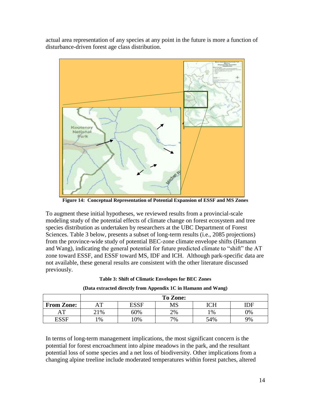actual area representation of any species at any point in the future is more a function of disturbance-driven forest age class distribution.



**Figure 14: Conceptual Representation of Potential Expansion of ESSF and MS Zones**

To augment these initial hypotheses, we reviewed results from a provincial-scale modeling study of the potential effects of climate change on forest ecosystem and tree species distribution as undertaken by researchers at the UBC Department of Forest Sciences. Table 3 below, presents a subset of long-term results (i.e., 2085 projections) from the province-wide study of potential BEC-zone climate envelope shifts (Hamann and Wang), indicating the general potential for future predicted climate to "shift" the AT zone toward ESSF, and ESSF toward MS, IDF and ICH. Although park-specific data are not available, these general results are consistent with the other literature discussed previously.

#### **Table 3: Shift of Climatic Envelopes for BEC Zones**

|                   | <b>To Zone:</b> |             |    |               |     |
|-------------------|-----------------|-------------|----|---------------|-----|
| <b>From Zone:</b> | ா               | <b>ESSF</b> | MS | ICH           | IDF |
| $\mathbf{T}$      | 21%             | 60%         | 2% | $\frac{1}{2}$ | 0%  |
| <b>ESSF</b>       | 1%              | $0\%$       | 7% | 54%           | 9%  |

#### **(Data extracted directly from Appendix 1C in Hamann and Wang)**

In terms of long-term management implications, the most significant concern is the potential for forest encroachment into alpine meadows in the park, and the resultant potential loss of some species and a net loss of biodiversity. Other implications from a changing alpine treeline include moderated temperatures within forest patches, altered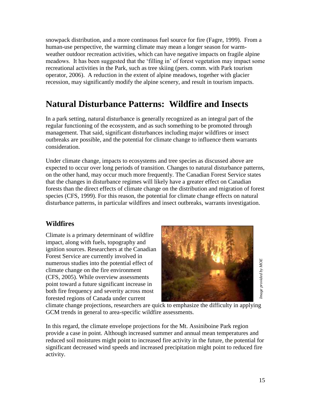snowpack distribution, and a more continuous fuel source for fire (Fagre, 1999). From a human-use perspective, the warming climate may mean a longer season for warmweather outdoor recreation activities, which can have negative impacts on fragile alpine meadows. It has been suggested that the "filling in" of forest vegetation may impact some recreational activities in the Park, such as tree skiing (pers. comm. with Park tourism operator, 2006). A reduction in the extent of alpine meadows, together with glacier recession, may significantly modify the alpine scenery, and result in tourism impacts.

# **Natural Disturbance Patterns: Wildfire and Insects**

In a park setting, natural disturbance is generally recognized as an integral part of the regular functioning of the ecosystem, and as such something to be promoted through management. That said, significant disturbances including major wildfires or insect outbreaks are possible, and the potential for climate change to influence them warrants consideration.

Under climate change, impacts to ecosystems and tree species as discussed above are expected to occur over long periods of transition. Changes to natural disturbance patterns, on the other hand, may occur much more frequently. The Canadian Forest Service states that the changes in disturbance regimes will likely have a greater effect on Canadian forests than the direct effects of climate change on the distribution and migration of forest species (CFS, 1999). For this reason, the potential for climate change effects on natural disturbance patterns, in particular wildfires and insect outbreaks, warrants investigation.

#### **Wildfires**

Climate is a primary determinant of wildfire impact, along with fuels, topography and ignition sources. Researchers at the Canadian Forest Service are currently involved in numerous studies into the potential effect of climate change on the fire environment (CFS, 2005). While overview assessments point toward a future significant increase in both fire frequency and severity across most forested regions of Canada under current



climate change projections, researchers are quick to emphasize the difficulty in applying GCM trends in general to area-specific wildfire assessments.

15*Image provided by MOE* In this regard, the climate envelope projections for the Mt. Assiniboine Park region provide a case in point. Although increased summer and annual mean temperatures and reduced soil moistures might point to increased fire activity in the future, the potential for significant decreased wind speeds and increased precipitation might point to reduced fire activity.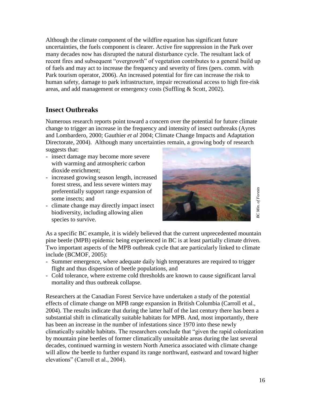Although the climate component of the wildfire equation has significant future uncertainties, the fuels component is clearer. Active fire suppression in the Park over many decades now has disrupted the natural disturbance cycle. The resultant lack of recent fires and subsequent "overgrowth" of vegetation contributes to a general build up of fuels and may act to increase the frequency and severity of fires (pers. comm. with Park tourism operator, 2006). An increased potential for fire can increase the risk to human safety, damage to park infrastructure, impair recreational access to high fire-risk areas, and add management or emergency costs (Suffling & Scott, 2002).

### **Insect Outbreaks**

Numerous research reports point toward a concern over the potential for future climate change to trigger an increase in the frequency and intensity of insect outbreaks (Ayres and Lombardero, 2000; Gauthier *et al* 2004; Climate Change Impacts and Adaptation Directorate, 2004). Although many uncertainties remain, a growing body of research suggests that:

- insect damage may become more severe with warming and atmospheric carbon dioxide enrichment;
- increased growing season length, increased forest stress, and less severe winters may preferentially support range expansion of some insects; and
- climate change may directly impact insect biodiversity, including allowing alien species to survive.



**3C** Min. of Forests *BC Min. of Forests*

As a specific BC example, it is widely believed that the current unprecedented mountain pine beetle (MPB) epidemic being experienced in BC is at least partially climate driven. Two important aspects of the MPB outbreak cycle that are particularly linked to climate include (BCMOF, 2005):

- Summer emergence, where adequate daily high temperatures are required to trigger flight and thus dispersion of beetle populations, and
- Cold tolerance, where extreme cold thresholds are known to cause significant larval mortality and thus outbreak collapse.

Researchers at the Canadian Forest Service have undertaken a study of the potential effects of climate change on MPB range expansion in British Columbia (Carroll et al., 2004). The results indicate that during the latter half of the last century there has been a substantial shift in climatically suitable habitats for MPB. And, most importantly, there has been an increase in the number of infestations since 1970 into these newly climatically suitable habitats. The researchers conclude that "given the rapid colonization by mountain pine beetles of former climatically unsuitable areas during the last several decades, continued warming in western North America associated with climate change will allow the beetle to further expand its range northward, eastward and toward higher elevations" (Carroll et al., 2004).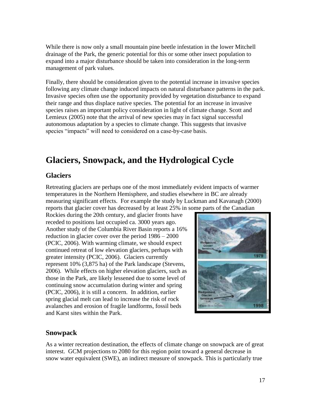While there is now only a small mountain pine beetle infestation in the lower Mitchell drainage of the Park, the generic potential for this or some other insect population to expand into a major disturbance should be taken into consideration in the long-term management of park values.

Finally, there should be consideration given to the potential increase in invasive species following any climate change induced impacts on natural disturbance patterns in the park. Invasive species often use the opportunity provided by vegetation disturbance to expand their range and thus displace native species. The potential for an increase in invasive species raises an important policy consideration in light of climate change. Scott and Lemieux (2005) note that the arrival of new species may in fact signal successful autonomous adaptation by a species to climate change. This suggests that invasive species "impacts" will need to considered on a case-by-case basis.

# **Glaciers, Snowpack, and the Hydrological Cycle**

#### **Glaciers**

Retreating glaciers are perhaps one of the most immediately evident impacts of warmer temperatures in the Northern Hemisphere, and studies elsewhere in BC are already measuring significant effects. For example the study by Luckman and Kavanagh (2000) reports that glacier cover has decreased by at least 25% in some parts of the Canadian

Rockies during the 20th century, and glacier fronts have receded to positions last occupied ca. 3000 years ago. Another study of the Columbia River Basin reports a 16% reduction in glacier cover over the period 1986 – 2000 (PCIC, 2006). With warming climate, we should expect continued retreat of low elevation glaciers, perhaps with greater intensity (PCIC, 2006). Glaciers currently represent 10% (3,875 ha) of the Park landscape (Stevens, 2006). While effects on higher elevation glaciers, such as those in the Park, are likely lessened due to some level of continuing snow accumulation during winter and spring (PCIC, 2006), it is still a concern. In addition, earlier spring glacial melt can lead to increase the risk of rock avalanches and erosion of fragile landforms, fossil beds and Karst sites within the Park.



#### **Snowpack**

As a winter recreation destination, the effects of climate change on snowpack are of great interest. GCM projections to 2080 for this region point toward a general decrease in snow water equivalent (SWE), an indirect measure of snowpack. This is particularly true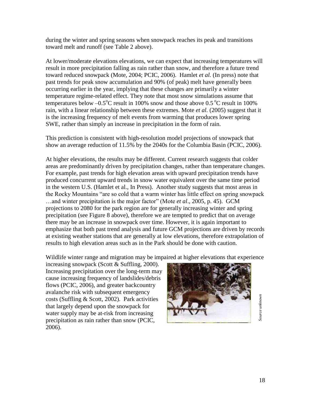during the winter and spring seasons when snowpack reaches its peak and transitions toward melt and runoff (see Table 2 above).

At lower/moderate elevations elevations, we can expect that increasing temperatures will result in more precipitation falling as rain rather than snow, and therefore a future trend toward reduced snowpack (Mote, 2004; PCIC, 2006). Hamlet *et al.* (In press) note that past trends for peak snow accumulation and 90% (of peak) melt have generally been occurring earlier in the year, implying that these changes are primarily a winter temperature regime-related effect. They note that most snow simulations assume that temperatures below  $-0.5^{\circ}$ C result in 100% snow and those above 0.5  $^{\circ}$ C result in 100% rain, with a linear relationship between these extremes. Mote *et al.* (2005) suggest that it is the increasing frequency of melt events from warming that produces lower spring SWE, rather than simply an increase in precipitation in the form of rain.

This prediction is consistent with high-resolution model projections of snowpack that show an average reduction of 11.5% by the 2040s for the Columbia Basin (PCIC, 2006).

At higher elevations, the results may be different. Current research suggests that colder areas are predominantly driven by precipitation changes, rather than temperature changes. For example, past trends for high elevation areas with upward precipitation trends have produced concurrent upward trends in snow water equivalent over the same time period in the western U.S. (Hamlet et al., In Press). Another study suggests that most areas in the Rocky Mountains "are so cold that a warm winter has little effect on spring snowpack …and winter precipitation is the major factor" (Mote *et al*., 2005, p. 45). GCM projections to 2080 for the park region are for generally increasing winter and spring precipitation (see Figure 8 above), therefore we are tempted to predict that on average there may be an increase in snowpack over time. However, it is again important to emphasize that both past trend analysis and future GCM projections are driven by records at existing weather stations that are generally at low elevations, therefore extrapolation of results to high elevation areas such as in the Park should be done with caution.

Wildlife winter range and migration may be impaired at higher elevations that experience

increasing snowpack (Scott & Suffling, 2000). Increasing precipitation over the long-term may cause increasing frequency of landslides/debris flows (PCIC, 2006), and greater backcountry avalanche risk with subsequent emergency costs (Suffling & Scott, 2002). Park activities that largely depend upon the snowpack for water supply may be at-risk from increasing precipitation as rain rather than snow (PCIC, 2006).



Source unknown *Source unknown*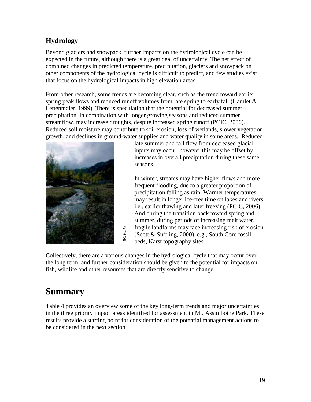### **Hydrology**

Beyond glaciers and snowpack, further impacts on the hydrological cycle can be expected in the future, although there is a great deal of uncertainty. The net effect of combined changes in predicted temperature, precipitation, glaciers and snowpack on other components of the hydrological cycle is difficult to predict, and few studies exist that focus on the hydrological impacts in high elevation areas.

From other research, some trends are becoming clear, such as the trend toward earlier spring peak flows and reduced runoff volumes from late spring to early fall (Hamlet  $\&$ Lettenmaier, 1999). There is speculation that the potential for decreased summer precipitation, in combination with longer growing seasons and reduced summer streamflow, may increase droughts, despite increased spring runoff (PCIC, 2006). Reduced soil moisture may contribute to soil erosion, loss of wetlands, slower vegetation growth, and declines in ground-water supplies and water quality in some areas. Reduced



late summer and fall flow from decreased glacial inputs may occur, however this may be offset by increases in overall precipitation during these same seasons.

In winter, streams may have higher flows and more frequent flooding, due to a greater proportion of precipitation falling as rain. Warmer temperatures may result in longer ice-free time on lakes and rivers, i.e., earlier thawing and later freezing (PCIC, 2006). And during the transition back toward spring and summer, during periods of increasing melt water, fragile landforms may face increasing risk of erosion (Scott & Suffling, 2000), e.g., South Core fossil beds, Karst topography sites.

Collectively, there are a various changes in the hydrological cycle that may occur over the long term, and further consideration should be given to the potential for impacts on fish, wildlife and other resources that are directly sensitive to change.

# **Summary**

Table 4 provides an overview some of the key long-term trends and major uncertainties in the three priority impact areas identified for assessment in Mt. Assiniboine Park. These results provide a starting point for consideration of the potential management actions to **Collectively, there are a various considered in the long term, and further considered is the long term, and further considered in the three priority impact areas in results provide a starting point for the considered in t**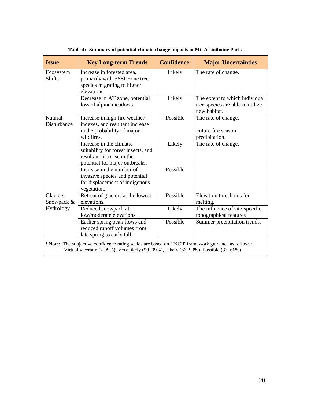| <b>Issue</b>                                                                                                                                                                                     | <b>Key Long-term Trends</b>                                                                                                    | Confidence <sup>!</sup> | <b>Major Uncertainties</b>                                                         |
|--------------------------------------------------------------------------------------------------------------------------------------------------------------------------------------------------|--------------------------------------------------------------------------------------------------------------------------------|-------------------------|------------------------------------------------------------------------------------|
| Ecosystem<br><b>Shifts</b>                                                                                                                                                                       | Increase in forested area,<br>primarily with ESSF zone tree<br>species migrating to higher<br>elevations.                      | Likely                  | The rate of change.                                                                |
|                                                                                                                                                                                                  | Decrease in AT zone, potential<br>loss of alpine meadows.                                                                      | Likely                  | The extent to which individual<br>tree species are able to utilize<br>new habitat. |
| <b>Natural</b><br>Disturbance                                                                                                                                                                    | Increase in high fire weather<br>indexes, and resultant increase<br>in the probability of major<br>wildfires.                  | Possible                | The rate of change.<br>Future fire season<br>precipitation.                        |
|                                                                                                                                                                                                  | Increase in the climatic<br>suitability for forest insects, and<br>resultant increase in the<br>potential for major outbreaks. | Likely                  | The rate of change.                                                                |
|                                                                                                                                                                                                  | Increase in the number of<br>invasive species and potential<br>for displacement of indigenous<br>vegetation.                   | Possible                |                                                                                    |
| Glaciers,<br>Snowpack &                                                                                                                                                                          | Retreat of glaciers at the lowest<br>elevations.                                                                               | Possible                | Elevation thresholds for<br>melting.                                               |
| Hydrology                                                                                                                                                                                        | Reduced snowpack at<br>low/moderate elevations.                                                                                | Likely                  | The influence of site-specific<br>topographical features                           |
|                                                                                                                                                                                                  | Earlier spring peak flows and<br>reduced runoff volumes from<br>late spring to early fall                                      | Possible                | Summer precipitation trends.                                                       |
| <b>! Note:</b> The subjective confidence rating scales are based on UKCIP framework guidance as follows:<br>Virtually certain (> 99%), Very likely (90–99%), Likely (66–90%), Possible (33–66%). |                                                                                                                                |                         |                                                                                    |

**Table 4: Summary of potential climate change impacts in Mt. Assiniboine Park.**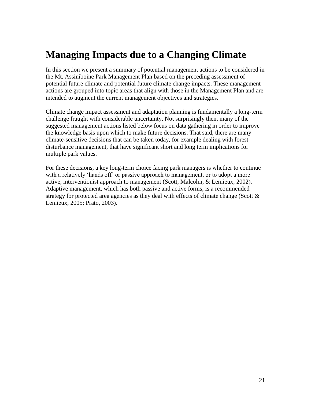# **Managing Impacts due to a Changing Climate**

In this section we present a summary of potential management actions to be considered in the Mt. Assiniboine Park Management Plan based on the preceding assessment of potential future climate and potential future climate change impacts. These management actions are grouped into topic areas that align with those in the Management Plan and are intended to augment the current management objectives and strategies.

Climate change impact assessment and adaptation planning is fundamentally a long-term challenge fraught with considerable uncertainty. Not surprisingly then, many of the suggested management actions listed below focus on data gathering in order to improve the knowledge basis upon which to make future decisions. That said, there are many climate-sensitive decisions that can be taken today, for example dealing with forest disturbance management, that have significant short and long term implications for multiple park values.

For these decisions, a key long-term choice facing park managers is whether to continue with a relatively 'hands off' or passive approach to management, or to adopt a more active, interventionist approach to management (Scott, Malcolm, & Lemieux, 2002). Adaptive management, which has both passive and active forms, is a recommended strategy for protected area agencies as they deal with effects of climate change (Scott  $\&$ Lemieux, 2005; Prato, 2003).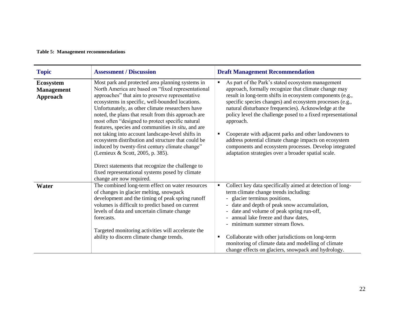#### **Table 5: Management recommendations**

| <b>Topic</b>                                             | <b>Assessment / Discussion</b>                                                                                                                                                                                                                                                                                                                                                                                                                                                                                                                                                                                                                                                                                                               | <b>Draft Management Recommendation</b>                                                                                                                                                                                                                                                                                                                                                                                                                                                                                                                                                                               |
|----------------------------------------------------------|----------------------------------------------------------------------------------------------------------------------------------------------------------------------------------------------------------------------------------------------------------------------------------------------------------------------------------------------------------------------------------------------------------------------------------------------------------------------------------------------------------------------------------------------------------------------------------------------------------------------------------------------------------------------------------------------------------------------------------------------|----------------------------------------------------------------------------------------------------------------------------------------------------------------------------------------------------------------------------------------------------------------------------------------------------------------------------------------------------------------------------------------------------------------------------------------------------------------------------------------------------------------------------------------------------------------------------------------------------------------------|
| <b>Ecosystem</b><br><b>Management</b><br><b>Approach</b> | Most park and protected area planning systems in<br>North America are based on "fixed representational<br>approaches" that aim to preserve representative<br>ecosystems in specific, well-bounded locations.<br>Unfortunately, as other climate researchers have<br>noted, the plans that result from this approach are<br>most often "designed to protect specific natural"<br>features, species and communities in situ, and are<br>not taking into account landscape-level shifts in<br>ecosystem distribution and structure that could be<br>induced by twenty-first century climate change"<br>(Lemieux & Scott, 2005, p. 385).<br>Direct statements that recognize the challenge to<br>fixed representational systems posed by climate | As part of the Park's stated ecosystem management<br>٠<br>approach, formally recognize that climate change may<br>result in long-term shifts in ecosystem components (e.g.,<br>specific species changes) and ecosystem processes (e.g.,<br>natural disturbance frequencies). Acknowledge at the<br>policy level the challenge posed to a fixed representational<br>approach.<br>Cooperate with adjacent parks and other landowners to<br>٠<br>address potential climate change impacts on ecosystem<br>components and ecosystem processes. Develop integrated<br>adaptation strategies over a broader spatial scale. |
|                                                          | change are now required.                                                                                                                                                                                                                                                                                                                                                                                                                                                                                                                                                                                                                                                                                                                     |                                                                                                                                                                                                                                                                                                                                                                                                                                                                                                                                                                                                                      |
| Water                                                    | The combined long-term effect on water resources<br>of changes in glacier melting, snowpack<br>development and the timing of peak spring runoff<br>volumes is difficult to predict based on current<br>levels of data and uncertain climate change<br>forecasts.<br>Targeted monitoring activities will accelerate the<br>ability to discern climate change trends.                                                                                                                                                                                                                                                                                                                                                                          | Collect key data specifically aimed at detection of long-<br>٠<br>term climate change trends including:<br>- glacier terminus positions,<br>- date and depth of peak snow accumulation,<br>- date and volume of peak spring run-off,<br>- annual lake freeze and thaw dates,<br>- minimum summer stream flows.<br>Collaborate with other jurisdictions on long-term<br>٠                                                                                                                                                                                                                                             |
|                                                          |                                                                                                                                                                                                                                                                                                                                                                                                                                                                                                                                                                                                                                                                                                                                              | monitoring of climate data and modelling of climate<br>change effects on glaciers, snowpack and hydrology.                                                                                                                                                                                                                                                                                                                                                                                                                                                                                                           |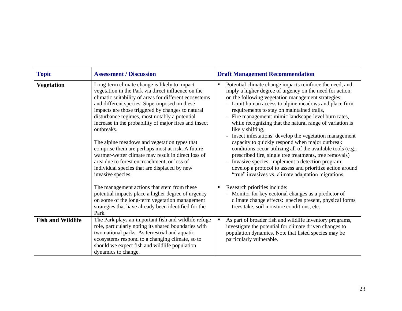| <b>Topic</b>             | <b>Assessment / Discussion</b>                                                                                                                                                                                                                                                                                                                                                                                                                                                                                                                                                                                                                                          | <b>Draft Management Recommendation</b>                                                                                                                                                                                                                                                                                                                                                                                                                                                                                                                                                                                                                                                                                                                                                                                                        |
|--------------------------|-------------------------------------------------------------------------------------------------------------------------------------------------------------------------------------------------------------------------------------------------------------------------------------------------------------------------------------------------------------------------------------------------------------------------------------------------------------------------------------------------------------------------------------------------------------------------------------------------------------------------------------------------------------------------|-----------------------------------------------------------------------------------------------------------------------------------------------------------------------------------------------------------------------------------------------------------------------------------------------------------------------------------------------------------------------------------------------------------------------------------------------------------------------------------------------------------------------------------------------------------------------------------------------------------------------------------------------------------------------------------------------------------------------------------------------------------------------------------------------------------------------------------------------|
| <b>Vegetation</b>        | Long-term climate change is likely to impact<br>vegetation in the Park via direct influence on the<br>climatic suitability of areas for different ecosystems<br>and different species. Superimposed on these<br>impacts are those triggered by changes to natural<br>disturbance regimes, most notably a potential<br>increase in the probability of major fires and insect<br>outbreaks.<br>The alpine meadows and vegetation types that<br>comprise them are perhaps most at risk. A future<br>warmer-wetter climate may result in direct loss of<br>area due to forest encroachment, or loss of<br>individual species that are displaced by new<br>invasive species. | Potential climate change impacts reinforce the need, and<br>imply a higher degree of urgency on the need for action,<br>on the following vegetation management strategies:<br>- Limit human access to alpine meadows and place firm<br>requirements to stay on maintained trails,<br>- Fire management: mimic landscape-level burn rates,<br>while recognizing that the natural range of variation is<br>likely shifting,<br>- Insect infestations: develop the vegetation management<br>capacity to quickly respond when major outbreak<br>conditions occur utilizing all of the available tools (e.g.,<br>prescribed fire, single tree treatments, tree removals)<br>- Invasive species: implement a detection program;<br>develop a protocol to assess and prioritize action around<br>"true" invasives vs. climate adaptation migrations. |
|                          | The management actions that stem from these<br>potential impacts place a higher degree of urgency<br>on some of the long-term vegetation management<br>strategies that have already been identified for the<br>Park.                                                                                                                                                                                                                                                                                                                                                                                                                                                    | Research priorities include:<br>٠<br>- Monitor for key ecotonal changes as a predictor of<br>climate change effects: species present, physical forms<br>trees take, soil moisture conditions, etc.                                                                                                                                                                                                                                                                                                                                                                                                                                                                                                                                                                                                                                            |
| <b>Fish and Wildlife</b> | The Park plays an important fish and wildlife refuge<br>role, particularly noting its shared boundaries with<br>two national parks. As terrestrial and aquatic<br>ecosystems respond to a changing climate, so to<br>should we expect fish and wildlife population<br>dynamics to change.                                                                                                                                                                                                                                                                                                                                                                               | As part of broader fish and wildlife inventory programs,<br>$\blacksquare$<br>investigate the potential for climate driven changes to<br>population dynamics. Note that listed species may be<br>particularly vulnerable.                                                                                                                                                                                                                                                                                                                                                                                                                                                                                                                                                                                                                     |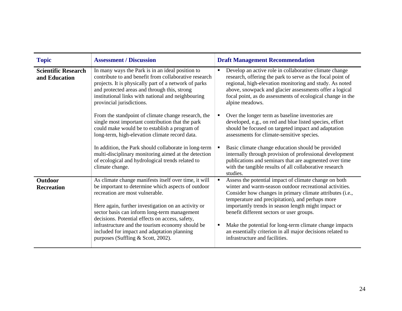| <b>Topic</b>                                | <b>Assessment / Discussion</b>                                                                                                                                                                                                                                                                                                                                                                                                                    | <b>Draft Management Recommendation</b>                                                                                                                                                                                                                                                                                                                                                                                                                                                                             |
|---------------------------------------------|---------------------------------------------------------------------------------------------------------------------------------------------------------------------------------------------------------------------------------------------------------------------------------------------------------------------------------------------------------------------------------------------------------------------------------------------------|--------------------------------------------------------------------------------------------------------------------------------------------------------------------------------------------------------------------------------------------------------------------------------------------------------------------------------------------------------------------------------------------------------------------------------------------------------------------------------------------------------------------|
| <b>Scientific Research</b><br>and Education | In many ways the Park is in an ideal position to<br>contribute to and benefit from collaborative research<br>projects. It is physically part of a network of parks<br>and protected areas and through this, strong<br>institutional links with national and neighbouring<br>provincial jurisdictions.                                                                                                                                             | Develop an active role in collaborative climate change<br>$\blacksquare$<br>research, offering the park to serve as the focal point of<br>regional, high-elevation monitoring and study. As noted<br>above, snowpack and glacier assessments offer a logical<br>focal point, as do assessments of ecological change in the<br>alpine meadows.                                                                                                                                                                      |
|                                             | From the standpoint of climate change research, the<br>single most important contribution that the park<br>could make would be to establish a program of<br>long-term, high-elevation climate record data.                                                                                                                                                                                                                                        | Over the longer term as baseline inventories are<br>developed, e.g., on red and blue listed species, effort<br>should be focused on targeted impact and adaptation<br>assessments for climate-sensitive species.                                                                                                                                                                                                                                                                                                   |
|                                             | In addition, the Park should collaborate in long-term<br>multi-disciplinary monitoring aimed at the detection<br>of ecological and hydrological trends related to<br>climate change.                                                                                                                                                                                                                                                              | Basic climate change education should be provided<br>internally through provision of professional development<br>publications and seminars that are augmented over time<br>with the tangible results of all collaborative research<br>studies.                                                                                                                                                                                                                                                                     |
| <b>Outdoor</b><br><b>Recreation</b>         | As climate change manifests itself over time, it will<br>be important to determine which aspects of outdoor<br>recreation are most vulnerable.<br>Here again, further investigation on an activity or<br>sector basis can inform long-term management<br>decisions. Potential effects on access, safety,<br>infrastructure and the tourism economy should be<br>included for impact and adaptation planning<br>purposes (Suffling & Scott, 2002). | Assess the potential impact of climate change on both<br>$\blacksquare$<br>winter and warm-season outdoor recreational activities.<br>Consider how changes in primary climate attributes (i.e.,<br>temperature and precipitation), and perhaps more<br>importantly trends in season length might impact or<br>benefit different sectors or user groups.<br>Make the potential for long-term climate change impacts<br>an essentially criterion in all major decisions related to<br>infrastructure and facilities. |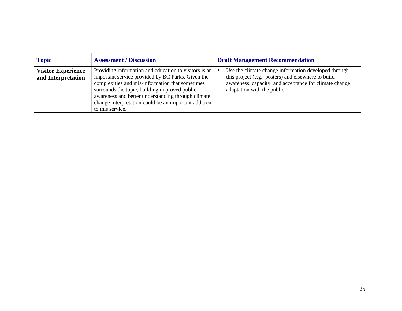| <b>Topic</b>                                    | <b>Assessment / Discussion</b>                                                                                                                                                                                                                                                                                                                   | <b>Draft Management Recommendation</b>                                                                                                                                                               |
|-------------------------------------------------|--------------------------------------------------------------------------------------------------------------------------------------------------------------------------------------------------------------------------------------------------------------------------------------------------------------------------------------------------|------------------------------------------------------------------------------------------------------------------------------------------------------------------------------------------------------|
| <b>Visitor Experience</b><br>and Interpretation | Providing information and education to visitors is an<br>important service provided by BC Parks. Given the<br>complexities and mis-information that sometimes<br>surrounds the topic, building improved public<br>awareness and better understanding through climate<br>change interpretation could be an important addition<br>to this service. | Use the climate change information developed through<br>this project (e.g., posters) and elsewhere to build<br>awareness, capacity, and acceptance for climate change<br>adaptation with the public. |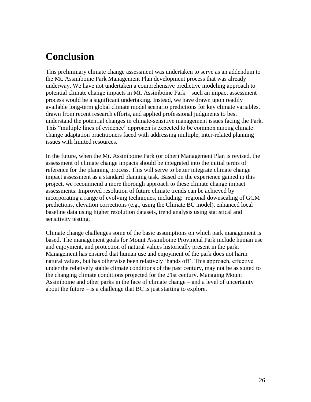# **Conclusion**

This preliminary climate change assessment was undertaken to serve as an addendum to the Mt. Assiniboine Park Management Plan development process that was already underway. We have not undertaken a comprehensive predictive modeling approach to potential climate change impacts in Mt. Assiniboine Park – such an impact assessment process would be a significant undertaking. Instead, we have drawn upon readily available long-term global climate model scenario predictions for key climate variables, drawn from recent research efforts, and applied professional judgments to best understand the potential changes in climate-sensitive management issues facing the Park. This "multiple lines of evidence" approach is expected to be common among climate change adaptation practitioners faced with addressing multiple, inter-related planning issues with limited resources.

In the future, when the Mt. Assiniboine Park (or other) Management Plan is revised, the assessment of climate change impacts should be integrated into the initial terms of reference for the planning process. This will serve to better integrate climate change impact assessment as a standard planning task. Based on the experience gained in this project, we recommend a more thorough approach to these climate change impact assessments. Improved resolution of future climate trends can be achieved by incorporating a range of evolving techniques, including: regional downscaling of GCM predictions, elevation corrections (e.g., using the Climate BC model), enhanced local baseline data using higher resolution datasets, trend analysis using statistical and sensitivity testing.

Climate change challenges some of the basic assumptions on which park management is based. The management goals for Mount Assiniboine Provincial Park include human use and enjoyment, and protection of natural values historically present in the park. Management has ensured that human use and enjoyment of the park does not harm natural values, but has otherwise been relatively "hands off". This approach, effective under the relatively stable climate conditions of the past century, may not be as suited to the changing climate conditions projected for the 21st century. Managing Mount Assiniboine and other parks in the face of climate change – and a level of uncertainty about the future  $-\text{i}$  a challenge that BC is just starting to explore.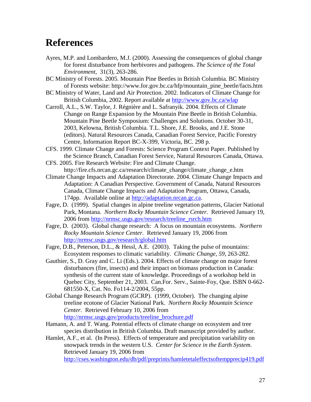# **References**

- Ayres, M.P. and Lombardero, M.J. (2000). Assessing the consequences of global change for forest disturbance from herbivores and pathogens. *The Science of the Total Environment,* 31(3), 263-286.
- BC Ministry of Forests. 2005. Mountain Pine Beetles in British Columbia. BC Ministry of Forests website: http://www.for.gov.bc.ca/hfp/mountain\_pine\_beetle/facts.htm
- BC Ministry of Water, Land and Air Protection. 2002. Indicators of Climate Change for British Columbia, 2002. Report available at<http://www.gov.bc.ca/wlap>
- Carroll, A.L., S.W. Taylor, J. Régnière and L. Safranyik. 2004. Effects of Climate Change on Range Expansion by the Mountain Pine Beetle in British Columbia. Mountain Pine Beetle Symposium: Challenges and Solutions. October 30-31, 2003, Kelowna, British Columbia. T.L. Shore, J.E. Brooks, and J.E. Stone (editors). Natural Resources Canada, Canadian Forest Service, Pacific Forestry Centre, Information Report BC-X-399, Victoria, BC. 298 p.
- CFS. 1999. Climate Change and Forests: Science Program Context Paper. Published by the Science Branch, Canadian Forest Service, Natural Resources Canada, Ottawa.
- CFS. 2005. Fire Research Website: Fire and Climate Change. http://fire.cfs.nrcan.gc.ca/research/climate\_change/climate\_change\_e.htm
- Climate Change Impacts and Adaptation Directorate. 2004. Climate Change Impacts and Adaptation: A Canadian Perspective. Government of Canada, Natural Resources Canada, Climate Change Impacts and Adaptation Program, Ottawa, Canada, 174pp. Available online at [http://adaptation.nrcan.gc.ca.](http://adaptation.nrcan.gc.ca/)
- Fagre, D. (1999). Spatial changes in alpine treeline vegetation patterns, Glacier National Park, Montana. *Northern Rocky Mountain Science Center.* Retrieved January 19, 2006 from [http://nrmsc.usgs.gov/research/treeline\\_rsrch.htm](http://nrmsc.usgs.gov/research/treeline_rsrch.htm)
- Fagre, D. (2003). Global change research: A focus on mountain ecosystems. *Northern Rocky Mountain Science Center.* Retrieved January 19, 2006 from <http://nrmsc.usgs.gov/research/global.htm>
- Fagre, D.B., Peterson, D.L., & Hessl, A.E. (2003). Taking the pulse of mountains: Ecosystem responses to climatic variability. *Climatic Change, 59,* 263-282.
- Gauthier, S., D. Gray and C. Li (Eds.). 2004. Effects of climate change on major forest disturbances (fire, insects) and their impact on biomass production in Canada: synthesis of the current state of knowledge. Proceedings of a workshop held in Quebec City, September 21, 2003. Can.For. Serv., Sainte-Foy, Que. ISBN 0-662- 681550-X, Cat. No. Fo114-2/2004, 55pp.
- Global Change Research Program (GCRP). (1999, October). The changing alpine treeline ecotone of Glacier National Park. *Northern Rocky Mountain Science Center.* Retrieved February 10, 2006 from [http://nrmsc.usgs.gov/products/treeline\\_brochure.pdf](http://nrmsc.usgs.gov/products/treeline_brochure.pdf)
- Hamann, A. and T. Wang. Potential effects of climate change on ecosystem and tree species distribution in British Columbia. Draft manuscript provided by author.
- Hamlet, A.F., et al. (In Press). Effects of temperature and precipitation variability on snowpack trends in the western U.S. *Center for Science in the Earth System.*  Retrieved January 19, 2006 from <http://cses.washington.edu/db/pdf/preprints/hamletetaleffectsoftempprecip419.pdf>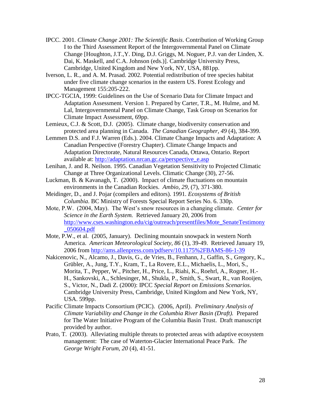- IPCC. 2001. *Climate Change 2001: The Scientific Basis*. Contribution of Working Group I to the Third Assessment Report of the Intergovernmental Panel on Climate Change [Houghton, J.T.,Y. Ding, D.J. Griggs, M. Noguer, P.J. van der Linden, X. Dai, K. Maskell, and C.A. Johnson (eds.)]. Cambridge University Press, Cambridge, United Kingdom and New York, NY, USA, 881pp.
- Iverson, L. R., and A. M. Prasad. 2002. Potential redistribution of tree species habitat under five climate change scenarios in the eastern US. Forest Ecology and Management 155:205-222.
- IPCC-TGCIA, 1999: Guidelines on the Use of Scenario Data for Climate Impact and Adaptation Assessment. Version 1. Prepared by Carter, T.R., M. Hulme, and M. Lal, Intergovernmental Panel on Climate Change, Task Group on Scenarios for Climate Impact Assessment, 69pp.
- Lemieux, C.J. & Scott, D.J. (2005). Climate change, biodiversity conservation and protected area planning in Canada. *The Canadian Geographer, 49* (4), 384-399.
- Lemmen D.S. and F.J. Warren (Eds.). 2004. Climate Change Impacts and Adaptation: A Canadian Perspective (Forestry Chapter). Climate Change Impacts and Adaptation Directorate, Natural Resources Canada, Ottawa, Ontario. Report available at: [http://adaptation.nrcan.gc.ca/perspective\\_e.asp](http://adaptation.nrcan.gc.ca/perspective_e.asp)
- Lenihan, J. and R. Neilson. 1995. Canadian Vegetation Sensitivity to Projected Climatic Change at Three Organizational Levels. Climatic Change (30), 27-56.
- Luckman, B. & Kavanagh, T. (2000). Impact of climate fluctuations on mountain environments in the Canadian Rockies. *Ambio, 29,* (7), 371-380.
- Meidinger, D., and J. Pojar (compilers and editors). 1991. *Ecosystems of British Columbia*. BC Ministry of Forests Special Report Series No. 6. 330p.
- Mote, P.W. (2004, May). The West"s snow resources in a changing climate. *Center for Science in the Earth System.* Retrieved January 20, 2006 from [http://www.cses.washington.edu/cig/outreach/presentfiles/Mote\\_SenateTestimony](http://www.cses.washington.edu/cig/outreach/presentfiles/Mote_SenateTestimony_050604.pdf) [\\_050604.pdf](http://www.cses.washington.edu/cig/outreach/presentfiles/Mote_SenateTestimony_050604.pdf)
- Mote, P.W., et al. (2005, January). Declining mountain snowpack in western North America. *American Meteorological Society, 86* (1), 39-49. Retrieved January 19, 2006 from<http://ams.allenpress.com/pdfserv/10.1175%2FBAMS-86-1-39>
- Nakicenovic, N., Alcamo, J., Davis, G., de Vries, B., Fenhann, J., Gaffin, S., Gregory, K., Grübler, A., Jung, T.Y., Kram, T., La Rovere, E.L., Michaelis, L., Mori, S., Morita, T., Pepper, W., Pitcher, H., Price, L., Riahi, K., Roehrl, A., Rogner, H.- H., Sankovski, A., Schlesinger, M., Shukla, P., Smith, S., Swart, R., van Rooijen, S., Victor, N., Dadi Z. (2000): IPCC *Special Report on Emissions Scenarios*. Cambridge University Press, Cambridge, United Kingdom and New York, NY, USA. 599pp.
- Pacific Climate Impacts Consortium (PCIC). (2006, April). *Preliminary Analysis of Climate Variability and Change in the Columbia River Basin (Draft).* Prepared for The Water Initiative Program of the Columbia Basin Trust. Draft manuscript provided by author.
- Prato, T. (2003). Alleviating multiple threats to protected areas with adaptive ecosystem management: The case of Waterton-Glacier International Peace Park. *The George Wright Forum, 20* (4), 41-51.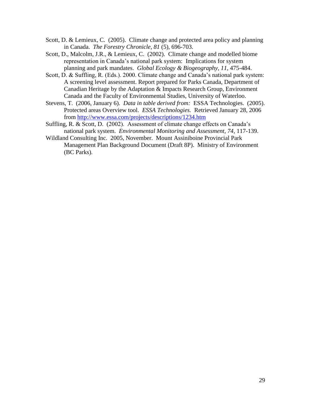- Scott, D. & Lemieux, C. (2005). Climate change and protected area policy and planning in Canada. *The Forestry Chronicle, 81* (5), 696-703.
- Scott, D., Malcolm, J.R., & Lemieux, C. (2002). Climate change and modelled biome representation in Canada"s national park system: Implications for system planning and park mandates. *Global Ecology & Biogeography, 11,* 475-484.
- Scott, D. & Suffling, R. (Eds.). 2000. Climate change and Canada's national park system: A screening level assessment. Report prepared for Parks Canada, Department of Canadian Heritage by the Adaptation & Impacts Research Group, Environment Canada and the Faculty of Environmental Studies, University of Waterloo.
- Stevens, T. (2006, January 6). *Data in table derived from:* ESSA Technologies. (2005). Protected areas Overview tool. *ESSA Technologies.* Retrieved January 28, 2006 from<http://www.essa.com/projects/descriptions/1234.htm>
- Suffling, R. & Scott, D. (2002). Assessment of climate change effects on Canada's national park system. *Environmental Monitoring and Assessment, 74,* 117-139.
- Wildland Consulting Inc. 2005, November. Mount Assiniboine Provincial Park Management Plan Background Document (Draft 8P). Ministry of Environment (BC Parks).